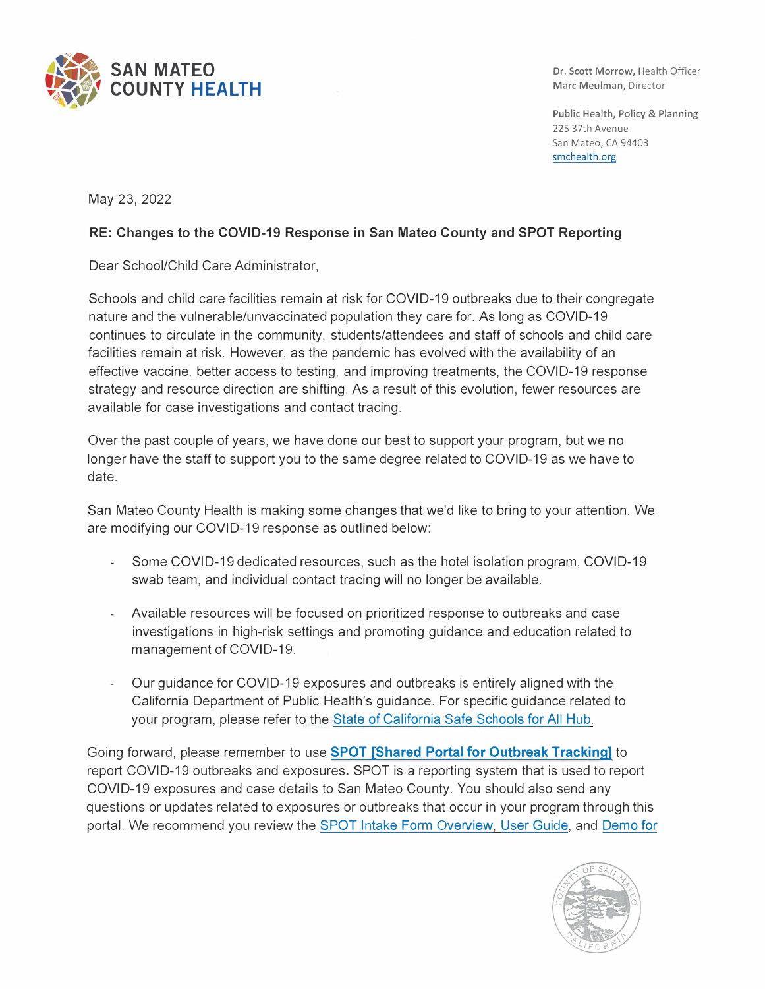

Dr. Scott Morrow, Health Officer Marc Meulman, Director

Public Health, Policy & Planning 225 37th Avenue San Mateo, CA 94403 smchealth.org

May 23, 2022

## **RE: Changes to the COVID-19 Response in San Mateo County and SPOT Reporting**

Dear School/Child Care Administrator,

Schools and child care facilities remain at risk for COVID-19 outbreaks due to their congregate nature and the vulnerable/unvaccinated population they care for. As long as COVID-19 continues to circulate in the community, students/attendees and staff of schools and child care facilities remain at risk. However, as the pandemic has evolved with the availability of an effective vaccine, better access to testing, and improving treatments, the COVID-19 response strategy and resource direction are shifting. As a result of this evolution, fewer resources are available for case investigations and contact tracing.

Over the past couple of years, we have done our best to support your program, but we no longer have the staff to support you to the same degree related to COVID-19 as we have to date.

San Mateo County Health is making some changes that we'd like to bring to your attention. We are modifying our COVID-19 response as outlined below:

- $\omega_{\rm c}$ Some COVID-19 dedicated resources, such as the hotel isolation program, COVID-19 swab team, and individual contact tracing will no longer be available.
- Available resources will be focused on prioritized response to outbreaks and case investigations in high-risk settings and promoting guidance and education related to management of COVID-19.
- Our guidance for COVID-19 exposures and outbreaks is entirely aligned with the California Department of Public Health's guidance. For specific guidance related to your program, please refer to the [State of California Safe Schools for All Hub](https://schools.covid19.ca.gov/).

Going forward, please remember to use **[SPOT \[Shared Portal for Outbreak Tracking\]](https://protect-us.mimecast.com/s/s8YUCPNKzmulmqW1F6ZBYy)** to report COVID-19 outbreaks and exposures. SPOT is a reporting system that is used to report COVID-19 exposures and case details to San Mateo County. You should also send any questions or updates related to exposures or outbreaks that occur in your program through this portal. We recommend you review the [SPOT Intake Form Overview,](https://www.smchealth.org/sites/main/files/file-attachments/spot_smc_flyer.pdf?1649386947) [User Guide,](https://www.smchealth.org/sites/main/files/file-attachments/shared_portal_user_guide_updated_schools.pdf?1649386965) and Demo for